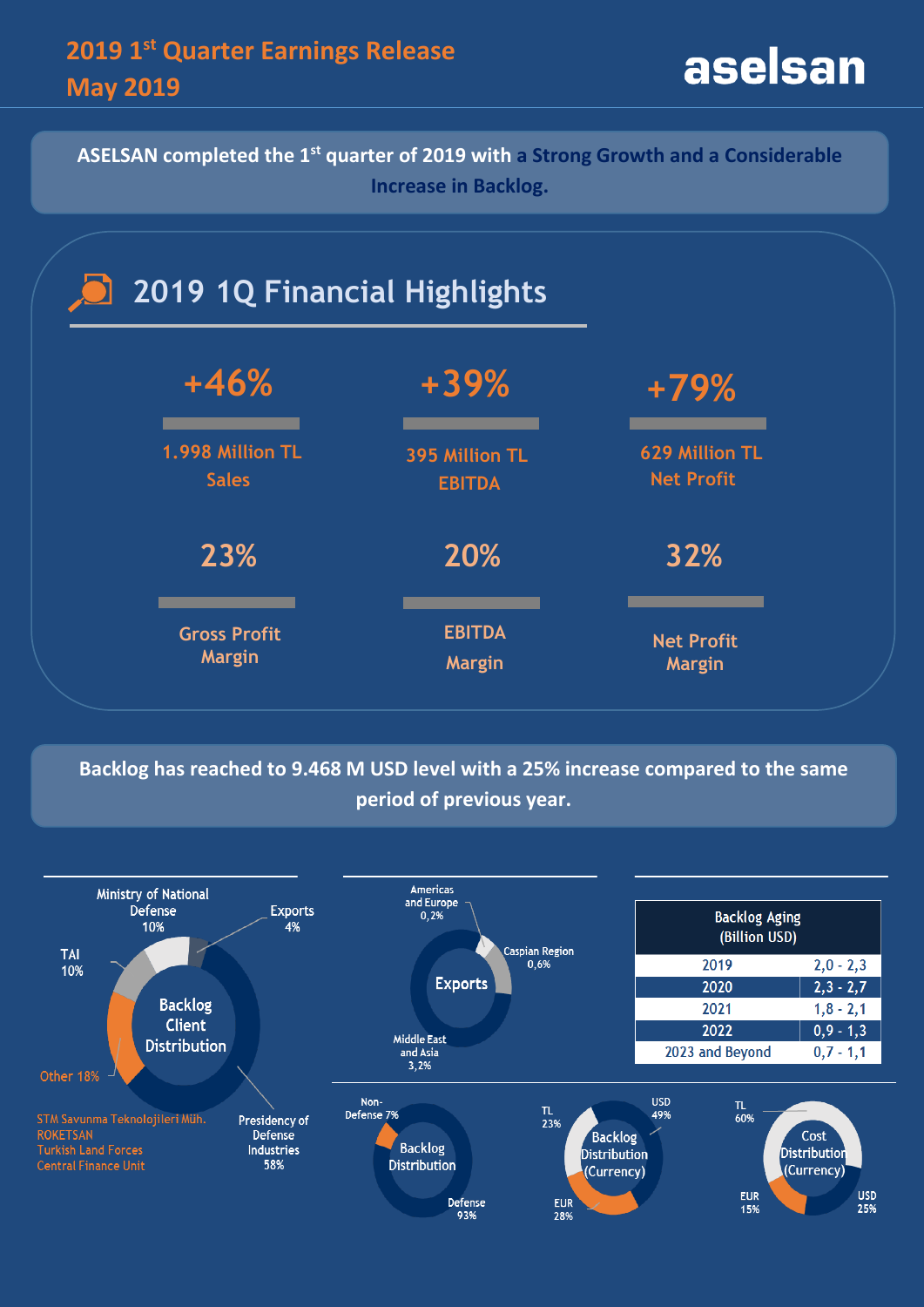**ASELSAN completed the 1st quarter of 2019 with a Strong Growth and a Considerable Increase in Backlog.**



**Backlog has reached to 9.468 M USD level with a 25% increase compared to the same period of previous year.**